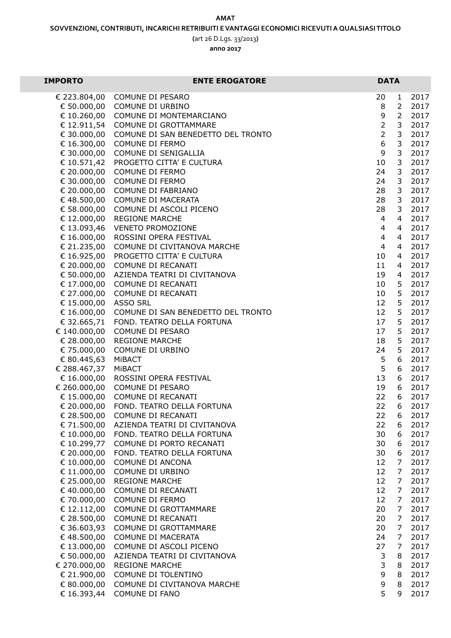## **AMAT**

**(**art 26 D.Lgs. 33/2013**)**

**anno 2017**

| <b>IMPORTO</b>              | <b>ENTE EROGATORE</b>              | <b>DATA</b>    |                |              |
|-----------------------------|------------------------------------|----------------|----------------|--------------|
| € 223.804,00                | COMUNE DI PESARO                   | 20             | $\mathbf{1}$   | 2017         |
| € 50.000,00                 | COMUNE DI URBINO                   | 8              | $\overline{2}$ | 2017         |
| € 10.260,00                 | COMUNE DI MONTEMARCIANO            | 9              | $\overline{2}$ | 2017         |
| € 12.911,54                 | COMUNE DI GROTTAMMARE              | $\overline{2}$ | 3              | 2017         |
| € 30.000,00                 | COMUNE DI SAN BENEDETTO DEL TRONTO | $\overline{2}$ | 3              | 2017         |
| € 16.300,00                 | <b>COMUNE DI FERMO</b>             | 6              | 3              | 2017         |
| € 30.000,00                 | COMUNE DI SENIGALLIA               | 9              | 3              | 2017         |
| € 10.571,42                 | PROGETTO CITTA' E CULTURA          | 10             | 3              | 2017         |
| € 20.000,00                 | <b>COMUNE DI FERMO</b>             | 24             | 3              | 2017         |
| $E$ 30.000,00               | COMUNE DI FERMO                    | 24             | $\mathbf{3}$   | 2017         |
| $E$ 20.000,00               | COMUNE DI FABRIANO                 | 28             | 3              | 2017         |
| € 48.500,00                 | COMUNE DI MACERATA                 | 28             | $\mathbf{3}$   | 2017         |
| € 58.000,00                 | COMUNE DI ASCOLI PICENO            | 28             | 3              | 2017         |
| € 12.000,00                 | <b>REGIONE MARCHE</b>              | $\overline{4}$ | $\overline{4}$ | 2017         |
| € 13.093,46                 | <b>VENETO PROMOZIONE</b>           | $\overline{4}$ | $\overline{4}$ | 2017         |
| € 16.000,00                 | ROSSINI OPERA FESTIVAL             | $\overline{4}$ | $\overline{4}$ | 2017         |
| € 21.235,00                 | COMUNE DI CIVITANOVA MARCHE        | $\overline{4}$ | $\overline{4}$ | 2017         |
| € 16.925,00                 | PROGETTO CITTA' E CULTURA          | 10             | 4              | 2017         |
| € 20.000,00                 | COMUNE DI RECANATI                 | 11             | 4              | 2017         |
| € 50.000,00                 | AZIENDA TEATRI DI CIVITANOVA       | 19             | 4              | 2017         |
| € 17.000,00                 | COMUNE DI RECANATI                 | 10             | 5              | 2017         |
| € 27.000,00                 | COMUNE DI RECANATI                 | 10             | 5              | 2017         |
| € 15.000,00                 | <b>ASSO SRL</b>                    | 12             | 5              | 2017         |
| € 16.000,00                 | COMUNE DI SAN BENEDETTO DEL TRONTO | 12             | 5              | 2017         |
| € 32.665,71                 | FOND. TEATRO DELLA FORTUNA         | 17             | 5              | 2017         |
| € 140.000,00                | COMUNE DI PESARO                   | 17             | 5              | 2017         |
| € 28.000,00                 | <b>REGIONE MARCHE</b>              | 18             | 5              | 2017         |
| € 75.000,00                 | COMUNE DI URBINO                   | 24<br>5        | 5<br>6         | 2017         |
| € 80.445,63<br>€ 288.467,37 | <b>MIBACT</b><br><b>MIBACT</b>     | 5              | 6              | 2017<br>2017 |
| € 16.000,00                 | ROSSINI OPERA FESTIVAL             | 13             | 6              | 2017         |
| € 260.000,00                | COMUNE DI PESARO                   | 19             | 6              | 2017         |
| € 15.000,00                 | COMUNE DI RECANATI                 | 22             | 6              | 2017         |
| € 20.000,00                 | FOND. TEATRO DELLA FORTUNA         | 22             | 6              | 2017         |
| € 28.500,00                 | COMUNE DI RECANATI                 | 22             | ь              | 2017         |
| € 71.500,00                 | AZIENDA TEATRI DI CIVITANOVA       | 22             | 6              | 2017         |
| € 10.000,00                 | FOND. TEATRO DELLA FORTUNA         | 30             | 6              | 2017         |
| € 10.299,77                 | COMUNE DI PORTO RECANATI           | 30             | 6              | 2017         |
| € 20.000,00                 | FOND. TEATRO DELLA FORTUNA         | 30             | 6              | 2017         |
| € 10.000,00                 | COMUNE DI ANCONA                   | 12             | 7              | 2017         |
| € 11.000,00                 | COMUNE DI URBINO                   | 12             | $\overline{7}$ | 2017         |
| € 25.000,00                 | <b>REGIONE MARCHE</b>              | 12             | 7              | 2017         |
| € 40.000,00                 | COMUNE DI RECANATI                 | 12             | 7              | 2017         |
| € 70.000,00                 | COMUNE DI FERMO                    | 12             | 7              | 2017         |
| € 12.112,00                 | COMUNE DI GROTTAMMARE              | 20             | 7 <sup>7</sup> | 2017         |
| € 28.500,00                 | COMUNE DI RECANATI                 | 20             | 7              | 2017         |
| € 36.603,93                 | COMUNE DI GROTTAMMARE              | 20             | 7 <sup>7</sup> | 2017         |
| €48.500,00                  | COMUNE DI MACERATA                 | 24             | 7              | 2017         |
| € 13.000,00                 | COMUNE DI ASCOLI PICENO            | 27             | $\overline{7}$ | 2017         |
| € 50.000,00                 | AZIENDA TEATRI DI CIVITANOVA       | 3              | 8              | 2017         |
| € 270.000,00                | <b>REGIONE MARCHE</b>              | 3              | 8              | 2017         |
| € 21.900,00                 | COMUNE DI TOLENTINO                | 9              | 8              | 2017         |
| € 80.000,00                 | COMUNE DI CIVITANOVA MARCHE        | 9              | 8              | 2017         |
| € 16.393,44                 | COMUNE DI FANO                     | 5              | 9              | 2017         |